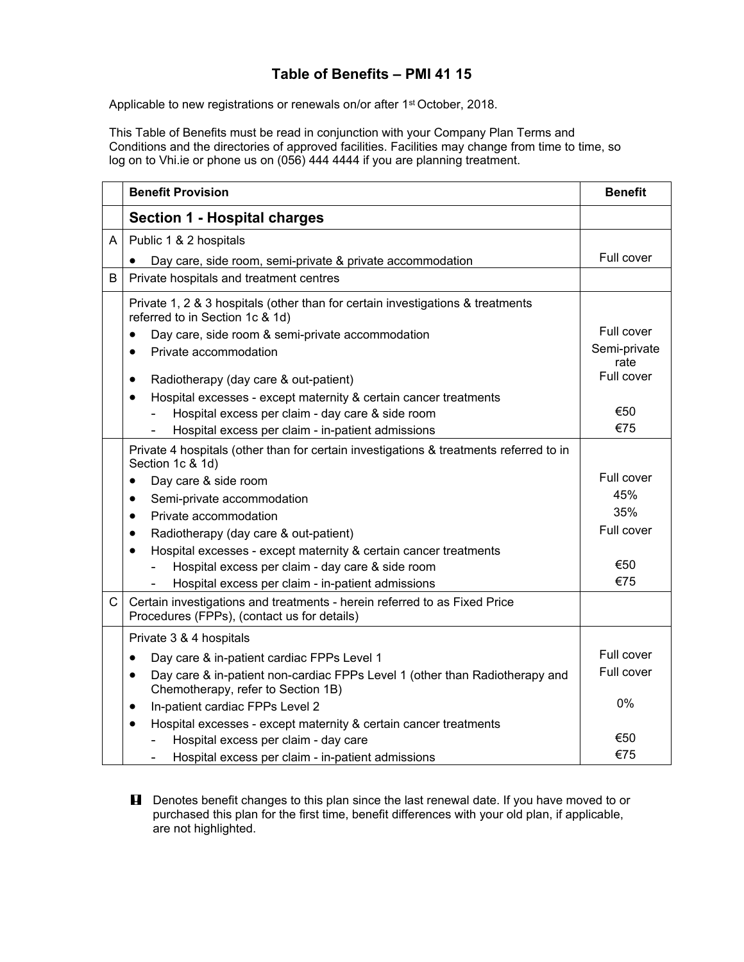## **Table of Benefits – PMI 41 15**

Applicable to new registrations or renewals on/or after 1<sup>st</sup> October, 2018.

This Table of Benefits must be read in conjunction with your Company Plan Terms and Conditions and the directories of approved facilities. Facilities may change from time to time, so log on to Vhi.ie or phone us on (056) 444 4444 if you are planning treatment.

|   | <b>Benefit Provision</b>                                                                                                       | <b>Benefit</b>       |
|---|--------------------------------------------------------------------------------------------------------------------------------|----------------------|
|   | Section 1 - Hospital charges                                                                                                   |                      |
| A | Public 1 & 2 hospitals                                                                                                         |                      |
|   | Day care, side room, semi-private & private accommodation                                                                      | Full cover           |
| B | Private hospitals and treatment centres                                                                                        |                      |
|   | Private 1, 2 & 3 hospitals (other than for certain investigations & treatments<br>referred to in Section 1c & 1d)              |                      |
|   | Day care, side room & semi-private accommodation<br>$\bullet$                                                                  | Full cover           |
|   | Private accommodation                                                                                                          | Semi-private<br>rate |
|   | Radiotherapy (day care & out-patient)<br>٠                                                                                     | Full cover           |
|   | Hospital excesses - except maternity & certain cancer treatments<br>$\bullet$                                                  |                      |
|   | Hospital excess per claim - day care & side room                                                                               | €50                  |
|   | Hospital excess per claim - in-patient admissions                                                                              | €75                  |
|   | Private 4 hospitals (other than for certain investigations & treatments referred to in<br>Section 1c & 1d)                     |                      |
|   | Day care & side room<br>$\bullet$                                                                                              | Full cover           |
|   | Semi-private accommodation<br>$\bullet$                                                                                        | 45%                  |
|   | Private accommodation<br>$\bullet$                                                                                             | 35%                  |
|   | Radiotherapy (day care & out-patient)<br>٠                                                                                     | Full cover           |
|   | Hospital excesses - except maternity & certain cancer treatments<br>$\bullet$                                                  |                      |
|   | Hospital excess per claim - day care & side room                                                                               | €50                  |
|   | Hospital excess per claim - in-patient admissions                                                                              | €75                  |
| C | Certain investigations and treatments - herein referred to as Fixed Price<br>Procedures (FPPs), (contact us for details)       |                      |
|   | Private 3 & 4 hospitals                                                                                                        |                      |
|   | Day care & in-patient cardiac FPPs Level 1<br>$\bullet$                                                                        | Full cover           |
|   | Day care & in-patient non-cardiac FPPs Level 1 (other than Radiotherapy and<br>$\bullet$<br>Chemotherapy, refer to Section 1B) | Full cover           |
|   | In-patient cardiac FPPs Level 2<br>$\bullet$                                                                                   | $0\%$                |
|   | Hospital excesses - except maternity & certain cancer treatments<br>$\bullet$                                                  |                      |
|   | Hospital excess per claim - day care                                                                                           | €50                  |
|   | Hospital excess per claim - in-patient admissions                                                                              | €75                  |

**H** Denotes benefit changes to this plan since the last renewal date. If you have moved to or purchased this plan for the first time, benefit differences with your old plan, if applicable, are not highlighted.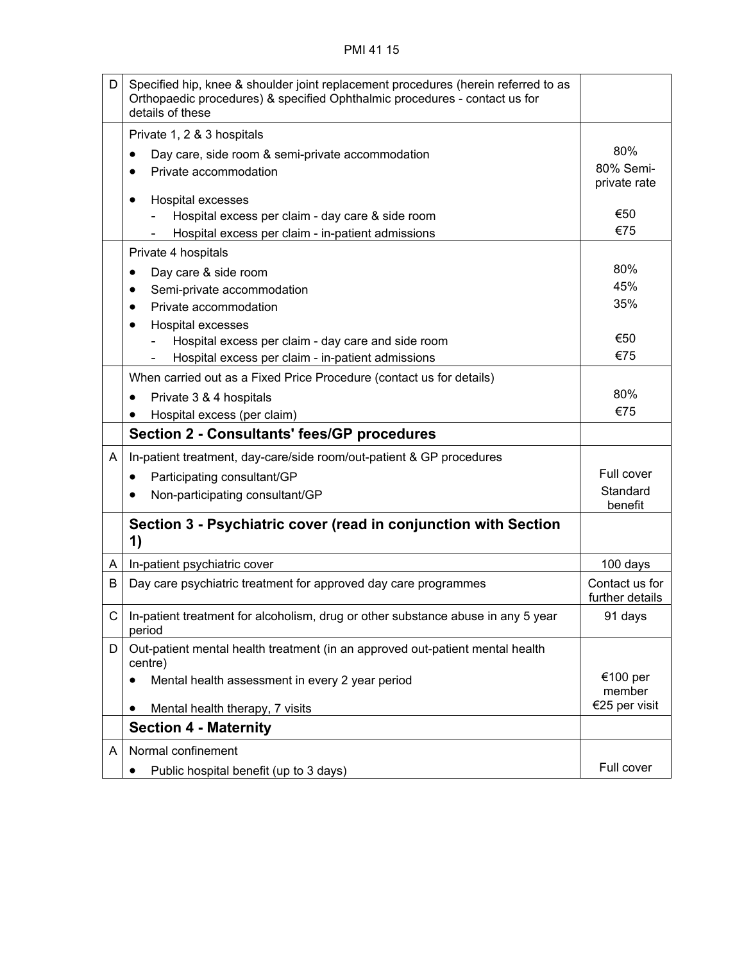## PMI 41 15

| D            | Specified hip, knee & shoulder joint replacement procedures (herein referred to as<br>Orthopaedic procedures) & specified Ophthalmic procedures - contact us for<br>details of these |                                   |
|--------------|--------------------------------------------------------------------------------------------------------------------------------------------------------------------------------------|-----------------------------------|
|              | Private 1, 2 & 3 hospitals                                                                                                                                                           |                                   |
|              | Day care, side room & semi-private accommodation<br>٠                                                                                                                                | 80%                               |
|              | Private accommodation                                                                                                                                                                | 80% Semi-<br>private rate         |
|              | Hospital excesses<br>$\bullet$                                                                                                                                                       |                                   |
|              | Hospital excess per claim - day care & side room                                                                                                                                     | €50                               |
|              | Hospital excess per claim - in-patient admissions                                                                                                                                    | €75                               |
|              | Private 4 hospitals                                                                                                                                                                  |                                   |
|              | Day care & side room<br>٠                                                                                                                                                            | 80%                               |
|              | Semi-private accommodation                                                                                                                                                           | 45%                               |
|              | Private accommodation                                                                                                                                                                | 35%                               |
|              | Hospital excesses                                                                                                                                                                    |                                   |
|              | Hospital excess per claim - day care and side room                                                                                                                                   | €50<br>€75                        |
|              | Hospital excess per claim - in-patient admissions                                                                                                                                    |                                   |
|              | When carried out as a Fixed Price Procedure (contact us for details)                                                                                                                 |                                   |
|              | Private 3 & 4 hospitals                                                                                                                                                              | 80%                               |
|              | Hospital excess (per claim)                                                                                                                                                          | €75                               |
|              | <b>Section 2 - Consultants' fees/GP procedures</b>                                                                                                                                   |                                   |
| A            | In-patient treatment, day-care/side room/out-patient & GP procedures                                                                                                                 |                                   |
|              | Participating consultant/GP<br>$\bullet$                                                                                                                                             | Full cover                        |
|              | Non-participating consultant/GP                                                                                                                                                      | Standard<br>benefit               |
|              | Section 3 - Psychiatric cover (read in conjunction with Section<br>1)                                                                                                                |                                   |
| A            | In-patient psychiatric cover                                                                                                                                                         | 100 days                          |
| В            | Day care psychiatric treatment for approved day care programmes                                                                                                                      | Contact us for<br>further details |
| $\mathsf{C}$ | In-patient treatment for alcoholism, drug or other substance abuse in any 5 year<br>period                                                                                           | 91 days                           |
| D            | Out-patient mental health treatment (in an approved out-patient mental health<br>centre)                                                                                             |                                   |
|              | Mental health assessment in every 2 year period<br>٠                                                                                                                                 | €100 per<br>member                |
|              | Mental health therapy, 7 visits<br>٠                                                                                                                                                 | €25 per visit                     |
|              | <b>Section 4 - Maternity</b>                                                                                                                                                         |                                   |
| A            | Normal confinement                                                                                                                                                                   |                                   |
|              | Public hospital benefit (up to 3 days)<br>$\bullet$                                                                                                                                  | Full cover                        |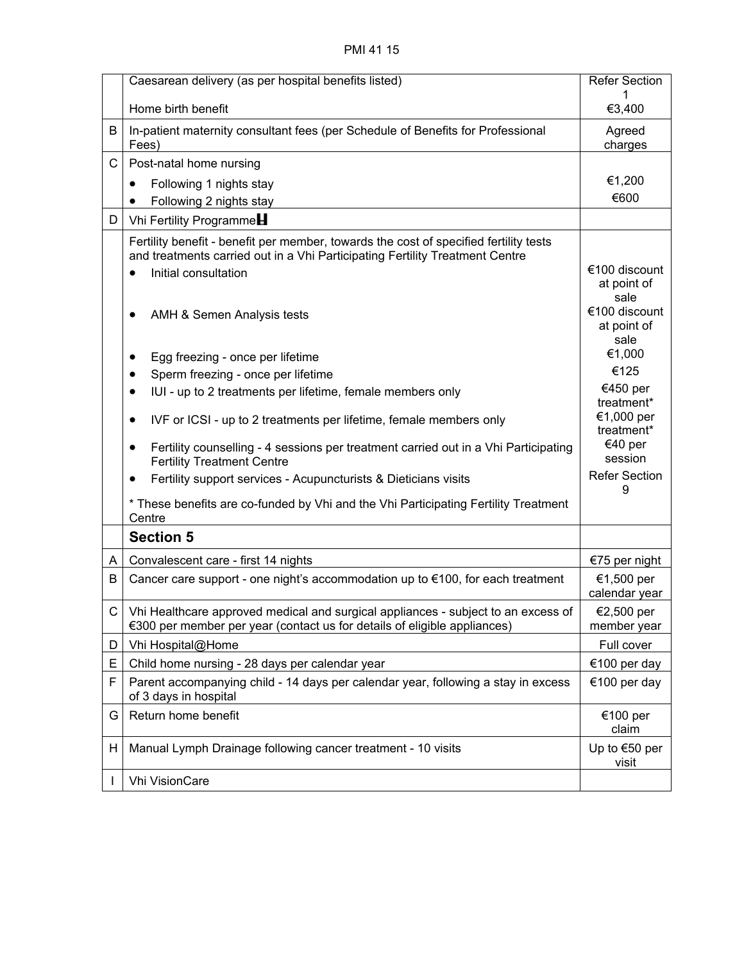## PMI 41 15

|    | Caesarean delivery (as per hospital benefits listed)                                                                                                                                                                                                                                                                                                                                                                                                                                                                                                                                                                                                                                                                                                                        | <b>Refer Section</b>                                                                                                                                                                                    |
|----|-----------------------------------------------------------------------------------------------------------------------------------------------------------------------------------------------------------------------------------------------------------------------------------------------------------------------------------------------------------------------------------------------------------------------------------------------------------------------------------------------------------------------------------------------------------------------------------------------------------------------------------------------------------------------------------------------------------------------------------------------------------------------------|---------------------------------------------------------------------------------------------------------------------------------------------------------------------------------------------------------|
|    | Home birth benefit                                                                                                                                                                                                                                                                                                                                                                                                                                                                                                                                                                                                                                                                                                                                                          | €3,400                                                                                                                                                                                                  |
| B  | In-patient maternity consultant fees (per Schedule of Benefits for Professional<br>Fees)                                                                                                                                                                                                                                                                                                                                                                                                                                                                                                                                                                                                                                                                                    | Agreed<br>charges                                                                                                                                                                                       |
| C  | Post-natal home nursing                                                                                                                                                                                                                                                                                                                                                                                                                                                                                                                                                                                                                                                                                                                                                     |                                                                                                                                                                                                         |
|    | Following 1 nights stay<br>$\bullet$                                                                                                                                                                                                                                                                                                                                                                                                                                                                                                                                                                                                                                                                                                                                        | €1,200                                                                                                                                                                                                  |
|    | Following 2 nights stay<br>٠                                                                                                                                                                                                                                                                                                                                                                                                                                                                                                                                                                                                                                                                                                                                                | €600                                                                                                                                                                                                    |
| D  | Vhi Fertility Programme                                                                                                                                                                                                                                                                                                                                                                                                                                                                                                                                                                                                                                                                                                                                                     |                                                                                                                                                                                                         |
|    | Fertility benefit - benefit per member, towards the cost of specified fertility tests<br>and treatments carried out in a Vhi Participating Fertility Treatment Centre<br>Initial consultation<br>$\bullet$<br>AMH & Semen Analysis tests<br>Egg freezing - once per lifetime<br>Sperm freezing - once per lifetime<br>IUI - up to 2 treatments per lifetime, female members only<br>$\bullet$<br>IVF or ICSI - up to 2 treatments per lifetime, female members only<br>$\bullet$<br>Fertility counselling - 4 sessions per treatment carried out in a Vhi Participating<br>٠<br><b>Fertility Treatment Centre</b><br>Fertility support services - Acupuncturists & Dieticians visits<br>* These benefits are co-funded by Vhi and the Vhi Participating Fertility Treatment | €100 discount<br>at point of<br>sale<br>€100 discount<br>at point of<br>sale<br>€1,000<br>€125<br>€450 per<br>treatment*<br>€1,000 per<br>treatment*<br>€40 per<br>session<br><b>Refer Section</b><br>9 |
|    | Centre<br><b>Section 5</b>                                                                                                                                                                                                                                                                                                                                                                                                                                                                                                                                                                                                                                                                                                                                                  |                                                                                                                                                                                                         |
| A  | Convalescent care - first 14 nights                                                                                                                                                                                                                                                                                                                                                                                                                                                                                                                                                                                                                                                                                                                                         | €75 per night                                                                                                                                                                                           |
| В  | Cancer care support - one night's accommodation up to €100, for each treatment                                                                                                                                                                                                                                                                                                                                                                                                                                                                                                                                                                                                                                                                                              | €1,500 per<br>calendar year                                                                                                                                                                             |
| C. | Vhi Healthcare approved medical and surgical appliances - subject to an excess of<br>€300 per member per year (contact us for details of eligible appliances)                                                                                                                                                                                                                                                                                                                                                                                                                                                                                                                                                                                                               | €2,500 per<br>member year                                                                                                                                                                               |
| D  | Vhi Hospital@Home                                                                                                                                                                                                                                                                                                                                                                                                                                                                                                                                                                                                                                                                                                                                                           | Full cover                                                                                                                                                                                              |
| E  | Child home nursing - 28 days per calendar year                                                                                                                                                                                                                                                                                                                                                                                                                                                                                                                                                                                                                                                                                                                              | €100 per day                                                                                                                                                                                            |
| F  | Parent accompanying child - 14 days per calendar year, following a stay in excess<br>of 3 days in hospital                                                                                                                                                                                                                                                                                                                                                                                                                                                                                                                                                                                                                                                                  | €100 per day                                                                                                                                                                                            |
| G  | Return home benefit                                                                                                                                                                                                                                                                                                                                                                                                                                                                                                                                                                                                                                                                                                                                                         | €100 per<br>claim                                                                                                                                                                                       |
| H. | Manual Lymph Drainage following cancer treatment - 10 visits                                                                                                                                                                                                                                                                                                                                                                                                                                                                                                                                                                                                                                                                                                                | Up to $€50$ per<br>visit                                                                                                                                                                                |
|    | Vhi VisionCare                                                                                                                                                                                                                                                                                                                                                                                                                                                                                                                                                                                                                                                                                                                                                              |                                                                                                                                                                                                         |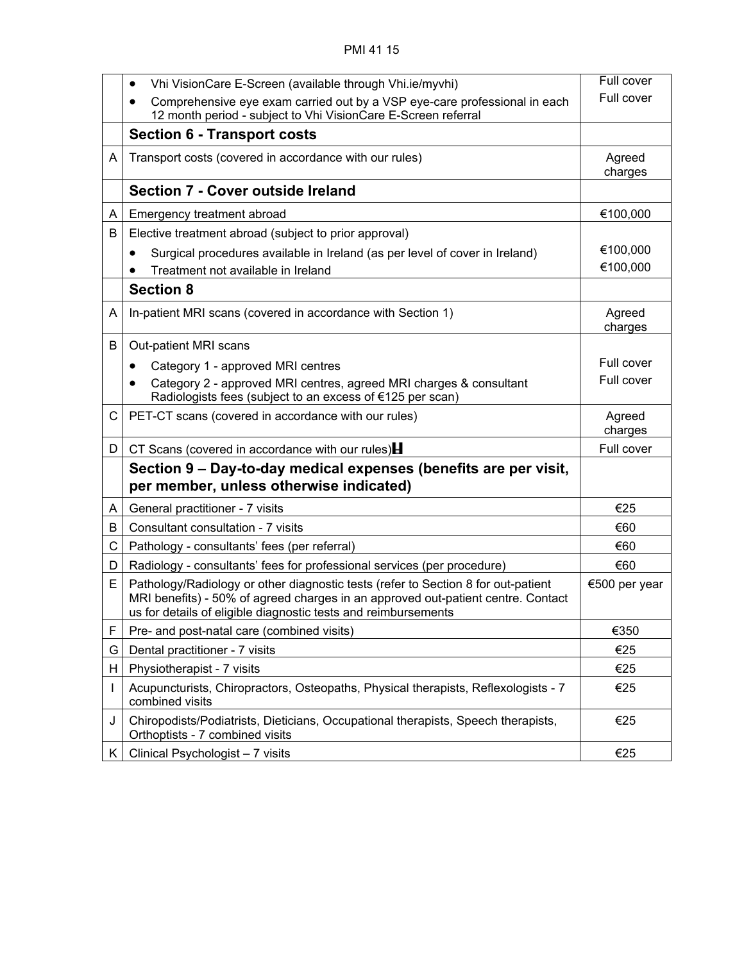|    | Vhi VisionCare E-Screen (available through Vhi.ie/myvhi)<br>$\bullet$                                                                                                                                                                   | Full cover        |
|----|-----------------------------------------------------------------------------------------------------------------------------------------------------------------------------------------------------------------------------------------|-------------------|
|    | Comprehensive eye exam carried out by a VSP eye-care professional in each<br>12 month period - subject to Vhi VisionCare E-Screen referral                                                                                              | Full cover        |
|    | <b>Section 6 - Transport costs</b>                                                                                                                                                                                                      |                   |
| A  | Transport costs (covered in accordance with our rules)                                                                                                                                                                                  | Agreed<br>charges |
|    | Section 7 - Cover outside Ireland                                                                                                                                                                                                       |                   |
| A  | Emergency treatment abroad                                                                                                                                                                                                              | €100,000          |
| B  | Elective treatment abroad (subject to prior approval)                                                                                                                                                                                   |                   |
|    | Surgical procedures available in Ireland (as per level of cover in Ireland)                                                                                                                                                             | €100,000          |
|    | Treatment not available in Ireland                                                                                                                                                                                                      | €100,000          |
|    | <b>Section 8</b>                                                                                                                                                                                                                        |                   |
| A  | In-patient MRI scans (covered in accordance with Section 1)                                                                                                                                                                             | Agreed<br>charges |
| B  | Out-patient MRI scans                                                                                                                                                                                                                   |                   |
|    | Category 1 - approved MRI centres                                                                                                                                                                                                       | Full cover        |
|    | Category 2 - approved MRI centres, agreed MRI charges & consultant<br>٠<br>Radiologists fees (subject to an excess of €125 per scan)                                                                                                    | Full cover        |
| C  | PET-CT scans (covered in accordance with our rules)                                                                                                                                                                                     | Agreed<br>charges |
| D  | CT Scans (covered in accordance with our rules) $\blacksquare$                                                                                                                                                                          | Full cover        |
|    | Section 9 – Day-to-day medical expenses (benefits are per visit,<br>per member, unless otherwise indicated)                                                                                                                             |                   |
| A. | General practitioner - 7 visits                                                                                                                                                                                                         | €25               |
| B  | Consultant consultation - 7 visits                                                                                                                                                                                                      | €60               |
| C  | Pathology - consultants' fees (per referral)                                                                                                                                                                                            | €60               |
| D  | Radiology - consultants' fees for professional services (per procedure)                                                                                                                                                                 | €60               |
| Е  | Pathology/Radiology or other diagnostic tests (refer to Section 8 for out-patient<br>MRI benefits) - 50% of agreed charges in an approved out-patient centre. Contact<br>us for details of eligible diagnostic tests and reimbursements | €500 per year     |
| F  | Pre- and post-natal care (combined visits)                                                                                                                                                                                              | €350              |
| G  | Dental practitioner - 7 visits                                                                                                                                                                                                          | €25               |
| H. | Physiotherapist - 7 visits                                                                                                                                                                                                              | €25               |
|    | Acupuncturists, Chiropractors, Osteopaths, Physical therapists, Reflexologists - 7<br>combined visits                                                                                                                                   | €25               |
| J  | Chiropodists/Podiatrists, Dieticians, Occupational therapists, Speech therapists,<br>Orthoptists - 7 combined visits                                                                                                                    | €25               |
| K  | Clinical Psychologist - 7 visits                                                                                                                                                                                                        | €25               |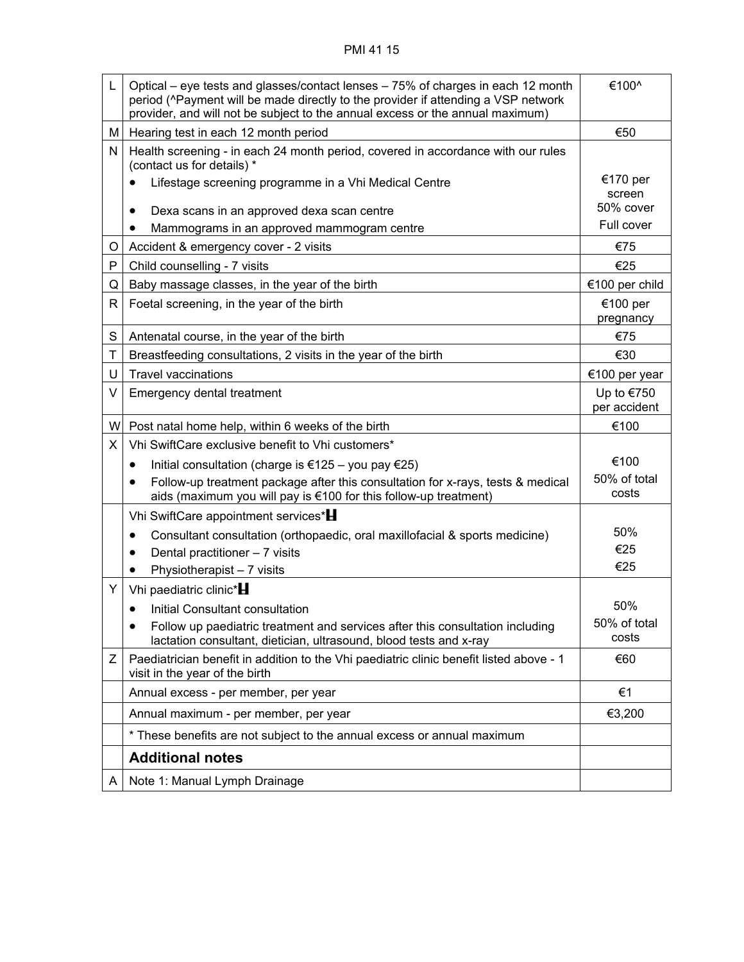## PMI 41 15

| L | Optical – eye tests and glasses/contact lenses – 75% of charges in each 12 month<br>period (^Payment will be made directly to the provider if attending a VSP network<br>provider, and will not be subject to the annual excess or the annual maximum) | €100^                        |
|---|--------------------------------------------------------------------------------------------------------------------------------------------------------------------------------------------------------------------------------------------------------|------------------------------|
| м | Hearing test in each 12 month period                                                                                                                                                                                                                   | €50                          |
| N | Health screening - in each 24 month period, covered in accordance with our rules<br>(contact us for details) *                                                                                                                                         |                              |
|   | Lifestage screening programme in a Vhi Medical Centre                                                                                                                                                                                                  | €170 per<br>screen           |
|   | Dexa scans in an approved dexa scan centre<br>٠                                                                                                                                                                                                        | 50% cover                    |
|   | Mammograms in an approved mammogram centre                                                                                                                                                                                                             | Full cover                   |
| O | Accident & emergency cover - 2 visits                                                                                                                                                                                                                  | €75                          |
| P | Child counselling - 7 visits                                                                                                                                                                                                                           | €25                          |
| Q | Baby massage classes, in the year of the birth                                                                                                                                                                                                         | €100 per child               |
| R | Foetal screening, in the year of the birth                                                                                                                                                                                                             | €100 per<br>pregnancy        |
| S | Antenatal course, in the year of the birth                                                                                                                                                                                                             | €75                          |
| T | Breastfeeding consultations, 2 visits in the year of the birth                                                                                                                                                                                         | €30                          |
| U | <b>Travel vaccinations</b>                                                                                                                                                                                                                             | €100 per year                |
| V | <b>Emergency dental treatment</b>                                                                                                                                                                                                                      | Up to $€750$<br>per accident |
| W | Post natal home help, within 6 weeks of the birth                                                                                                                                                                                                      | €100                         |
| X | Vhi SwiftCare exclusive benefit to Vhi customers*                                                                                                                                                                                                      |                              |
|   | Initial consultation (charge is €125 – you pay €25)<br>$\bullet$                                                                                                                                                                                       | €100                         |
|   | Follow-up treatment package after this consultation for x-rays, tests & medical<br>$\bullet$<br>aids (maximum you will pay is €100 for this follow-up treatment)                                                                                       | 50% of total<br>costs        |
|   | Vhi SwiftCare appointment services*                                                                                                                                                                                                                    |                              |
|   | Consultant consultation (orthopaedic, oral maxillofacial & sports medicine)<br>$\bullet$                                                                                                                                                               | 50%                          |
|   | Dental practitioner - 7 visits                                                                                                                                                                                                                         | €25                          |
|   | Physiotherapist - 7 visits                                                                                                                                                                                                                             | €25                          |
| Y | Vhi paediatric clinic*                                                                                                                                                                                                                                 |                              |
|   | Initial Consultant consultation                                                                                                                                                                                                                        | 50%                          |
|   | Follow up paediatric treatment and services after this consultation including<br>lactation consultant, dietician, ultrasound, blood tests and x-ray                                                                                                    | 50% of total<br>costs        |
| Ζ | Paediatrician benefit in addition to the Vhi paediatric clinic benefit listed above - 1<br>visit in the year of the birth                                                                                                                              | €60                          |
|   | Annual excess - per member, per year                                                                                                                                                                                                                   | €1                           |
|   | Annual maximum - per member, per year                                                                                                                                                                                                                  | €3,200                       |
|   | * These benefits are not subject to the annual excess or annual maximum                                                                                                                                                                                |                              |
|   | <b>Additional notes</b>                                                                                                                                                                                                                                |                              |
| A | Note 1: Manual Lymph Drainage                                                                                                                                                                                                                          |                              |